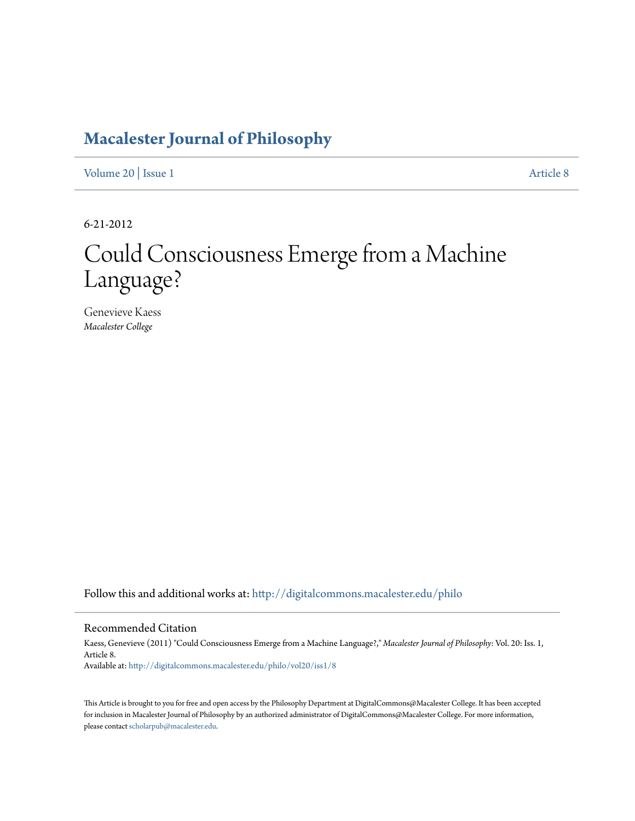# **[Macalester Journal of Philosophy](http://digitalcommons.macalester.edu/philo?utm_source=digitalcommons.macalester.edu%2Fphilo%2Fvol20%2Fiss1%2F8&utm_medium=PDF&utm_campaign=PDFCoverPages)**

[Volume 20](http://digitalcommons.macalester.edu/philo/vol20?utm_source=digitalcommons.macalester.edu%2Fphilo%2Fvol20%2Fiss1%2F8&utm_medium=PDF&utm_campaign=PDFCoverPages) | [Issue 1](http://digitalcommons.macalester.edu/philo/vol20/iss1?utm_source=digitalcommons.macalester.edu%2Fphilo%2Fvol20%2Fiss1%2F8&utm_medium=PDF&utm_campaign=PDFCoverPages) [Article 8](http://digitalcommons.macalester.edu/philo/vol20/iss1/8?utm_source=digitalcommons.macalester.edu%2Fphilo%2Fvol20%2Fiss1%2F8&utm_medium=PDF&utm_campaign=PDFCoverPages)

6-21-2012

# Could Consciousness Emerge from a Machine Language?

Genevieve Kaess *Macalester College*

Follow this and additional works at: [http://digitalcommons.macalester.edu/philo](http://digitalcommons.macalester.edu/philo?utm_source=digitalcommons.macalester.edu%2Fphilo%2Fvol20%2Fiss1%2F8&utm_medium=PDF&utm_campaign=PDFCoverPages)

#### Recommended Citation

Kaess, Genevieve (2011) "Could Consciousness Emerge from a Machine Language?," *Macalester Journal of Philosophy*: Vol. 20: Iss. 1, Article 8. Available at: [http://digitalcommons.macalester.edu/philo/vol20/iss1/8](http://digitalcommons.macalester.edu/philo/vol20/iss1/8?utm_source=digitalcommons.macalester.edu%2Fphilo%2Fvol20%2Fiss1%2F8&utm_medium=PDF&utm_campaign=PDFCoverPages)

This Article is brought to you for free and open access by the Philosophy Department at DigitalCommons@Macalester College. It has been accepted for inclusion in Macalester Journal of Philosophy by an authorized administrator of DigitalCommons@Macalester College. For more information, please contact [scholarpub@macalester.edu.](mailto:scholarpub@macalester.edu)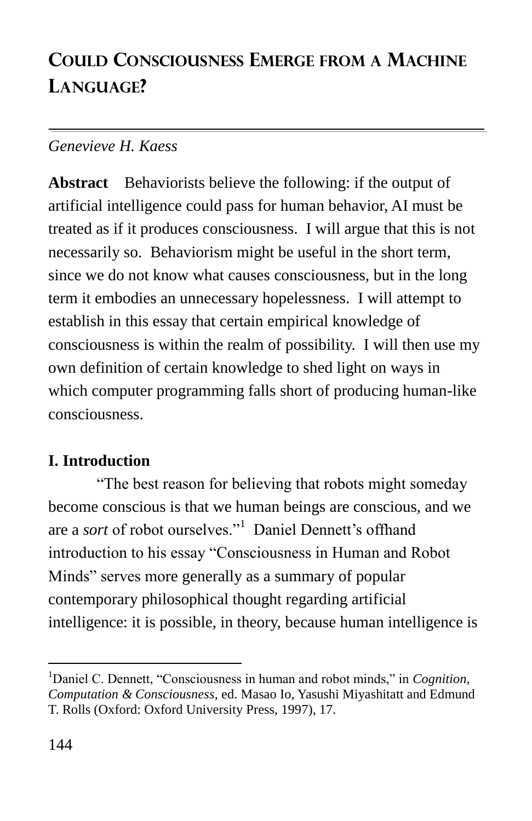# **COULD CONSCIOUSNESS EMERGE FROM A MACHINE LANGUAGE?**

## *Genevieve H. Kaess*

**Abstract** Behaviorists believe the following: if the output of artificial intelligence could pass for human behavior, AI must be treated as if it produces consciousness. I will argue that this is not necessarily so. Behaviorism might be useful in the short term, since we do not know what causes consciousness, but in the long term it embodies an unnecessary hopelessness. I will attempt to establish in this essay that certain empirical knowledge of consciousness is within the realm of possibility. I will then use my own definition of certain knowledge to shed light on ways in which computer programming falls short of producing human-like consciousness.

# **I. Introduction**

―The best reason for believing that robots might someday become conscious is that we human beings are conscious, and we are a *sort* of robot ourselves."<sup>1</sup> Daniel Dennett's offhand introduction to his essay "Consciousness in Human and Robot Minds" serves more generally as a summary of popular contemporary philosophical thought regarding artificial intelligence: it is possible, in theory, because human intelligence is

<sup>&</sup>lt;sup>1</sup>Daniel C. Dennett, "Consciousness in human and robot minds," in *Cognition*, *Computation & Consciousness*, ed. Masao Io, Yasushi Miyashitatt and Edmund T. Rolls (Oxford: Oxford University Press, 1997), 17.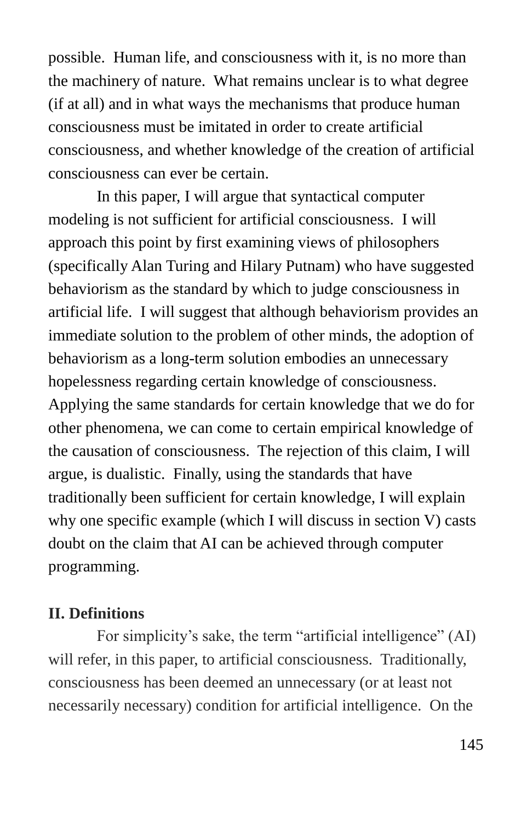possible. Human life, and consciousness with it, is no more than the machinery of nature. What remains unclear is to what degree (if at all) and in what ways the mechanisms that produce human consciousness must be imitated in order to create artificial consciousness, and whether knowledge of the creation of artificial consciousness can ever be certain.

In this paper, I will argue that syntactical computer modeling is not sufficient for artificial consciousness. I will approach this point by first examining views of philosophers (specifically Alan Turing and Hilary Putnam) who have suggested behaviorism as the standard by which to judge consciousness in artificial life. I will suggest that although behaviorism provides an immediate solution to the problem of other minds, the adoption of behaviorism as a long-term solution embodies an unnecessary hopelessness regarding certain knowledge of consciousness. Applying the same standards for certain knowledge that we do for other phenomena, we can come to certain empirical knowledge of the causation of consciousness. The rejection of this claim, I will argue, is dualistic. Finally, using the standards that have traditionally been sufficient for certain knowledge, I will explain why one specific example (which I will discuss in section V) casts doubt on the claim that AI can be achieved through computer programming.

#### **II. Definitions**

For simplicity's sake, the term "artificial intelligence" (AI) will refer, in this paper, to artificial consciousness. Traditionally, consciousness has been deemed an unnecessary (or at least not necessarily necessary) condition for artificial intelligence. On the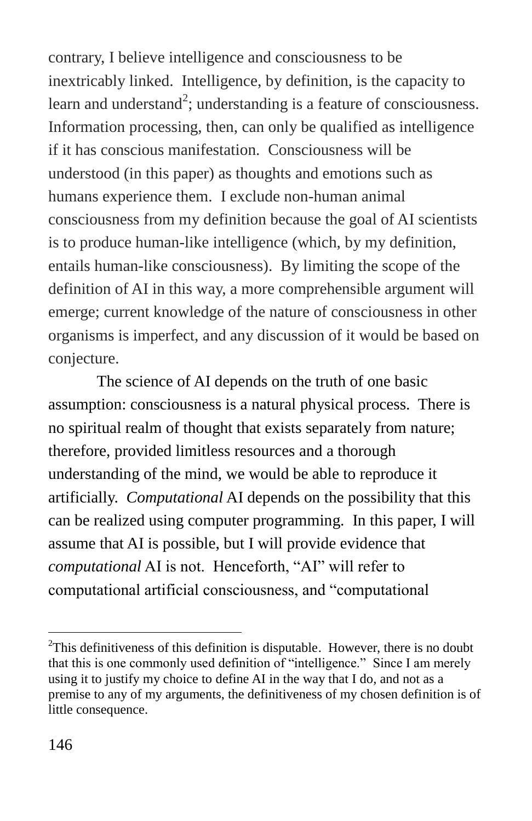contrary, I believe intelligence and consciousness to be inextricably linked. Intelligence, by definition, is the capacity to learn and understand<sup>2</sup>; understanding is a feature of consciousness. Information processing, then, can only be qualified as intelligence if it has conscious manifestation. Consciousness will be understood (in this paper) as thoughts and emotions such as humans experience them. I exclude non-human animal consciousness from my definition because the goal of AI scientists is to produce human-like intelligence (which, by my definition, entails human-like consciousness). By limiting the scope of the definition of AI in this way, a more comprehensible argument will emerge; current knowledge of the nature of consciousness in other organisms is imperfect, and any discussion of it would be based on conjecture.

The science of AI depends on the truth of one basic assumption: consciousness is a natural physical process. There is no spiritual realm of thought that exists separately from nature; therefore, provided limitless resources and a thorough understanding of the mind, we would be able to reproduce it artificially. *Computational* AI depends on the possibility that this can be realized using computer programming. In this paper, I will assume that AI is possible, but I will provide evidence that *computational* AI is not. Henceforth, "AI" will refer to computational artificial consciousness, and "computational

 $2$ This definitiveness of this definition is disputable. However, there is no doubt that this is one commonly used definition of "intelligence." Since I am merely using it to justify my choice to define AI in the way that I do, and not as a premise to any of my arguments, the definitiveness of my chosen definition is of little consequence.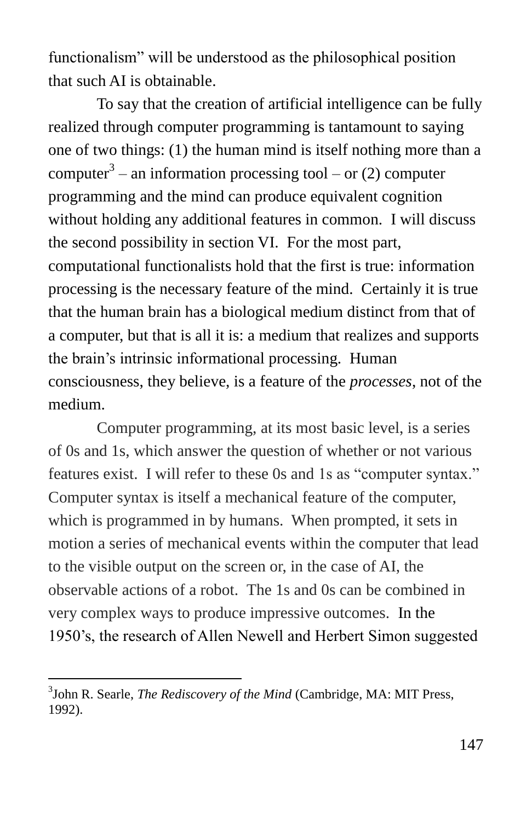functionalism" will be understood as the philosophical position that such AI is obtainable.

To say that the creation of artificial intelligence can be fully realized through computer programming is tantamount to saying one of two things: (1) the human mind is itself nothing more than a computer<sup>3</sup> – an information processing tool – or (2) computer programming and the mind can produce equivalent cognition without holding any additional features in common. I will discuss the second possibility in section VI. For the most part, computational functionalists hold that the first is true: information processing is the necessary feature of the mind. Certainly it is true that the human brain has a biological medium distinct from that of a computer, but that is all it is: a medium that realizes and supports the brain's intrinsic informational processing. Human consciousness, they believe, is a feature of the *processes*, not of the medium.

Computer programming, at its most basic level, is a series of 0s and 1s, which answer the question of whether or not various features exist. I will refer to these 0s and 1s as "computer syntax." Computer syntax is itself a mechanical feature of the computer, which is programmed in by humans. When prompted, it sets in motion a series of mechanical events within the computer that lead to the visible output on the screen or, in the case of AI, the observable actions of a robot.The 1s and 0s can be combined in very complex ways to produce impressive outcomes. In the 1950's, the research of Allen Newell and Herbert Simon suggested

<sup>3</sup> John R. Searle, *The Rediscovery of the Mind* (Cambridge, MA: MIT Press, 1992).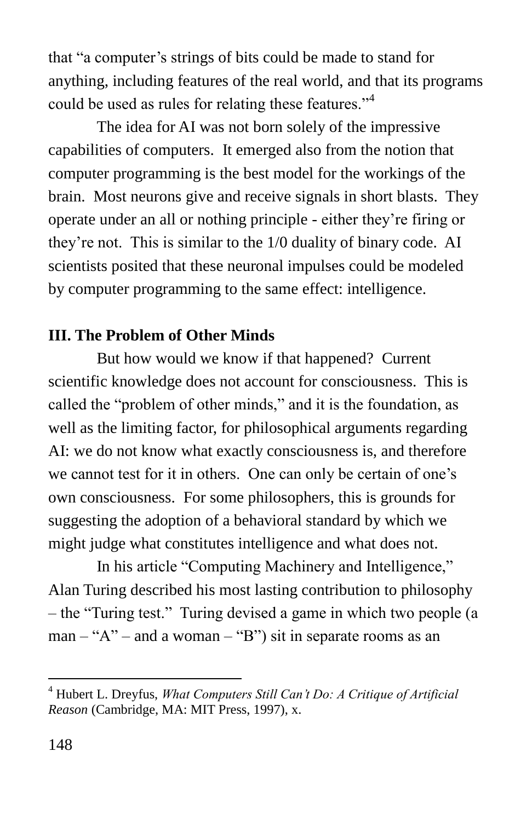that "a computer's strings of bits could be made to stand for anything, including features of the real world, and that its programs could be used as rules for relating these features.<sup>34</sup>

The idea for AI was not born solely of the impressive capabilities of computers. It emerged also from the notion that computer programming is the best model for the workings of the brain. Most neurons give and receive signals in short blasts. They operate under an all or nothing principle - either they're firing or they're not. This is similar to the 1/0 duality of binary code. AI scientists posited that these neuronal impulses could be modeled by computer programming to the same effect: intelligence.

## **III. The Problem of Other Minds**

But how would we know if that happened? Current scientific knowledge does not account for consciousness. This is called the "problem of other minds," and it is the foundation, as well as the limiting factor, for philosophical arguments regarding AI: we do not know what exactly consciousness is, and therefore we cannot test for it in others. One can only be certain of one's own consciousness. For some philosophers, this is grounds for suggesting the adoption of a behavioral standard by which we might judge what constitutes intelligence and what does not.

In his article "Computing Machinery and Intelligence," Alan Turing described his most lasting contribution to philosophy – the "Turing test." Turing devised a game in which two people (a  $man - "A"$  – and a woman – "B") sit in separate rooms as an

<sup>4</sup> Hubert L. Dreyfus, *What Computers Still Can't Do: A Critique of Artificial Reason* (Cambridge, MA: MIT Press, 1997), x.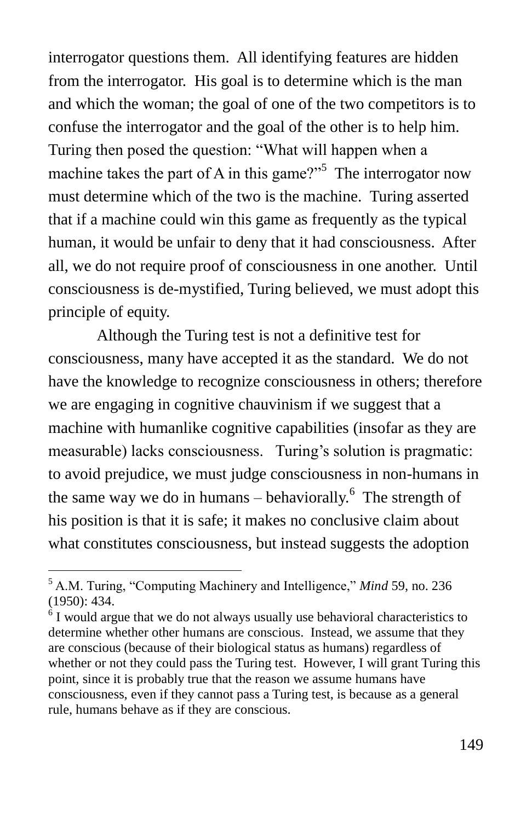interrogator questions them. All identifying features are hidden from the interrogator. His goal is to determine which is the man and which the woman; the goal of one of the two competitors is to confuse the interrogator and the goal of the other is to help him. Turing then posed the question: "What will happen when a machine takes the part of A in this game? $15$ <sup>5</sup> The interrogator now must determine which of the two is the machine. Turing asserted that if a machine could win this game as frequently as the typical human, it would be unfair to deny that it had consciousness. After all, we do not require proof of consciousness in one another. Until consciousness is de-mystified, Turing believed, we must adopt this principle of equity.

Although the Turing test is not a definitive test for consciousness, many have accepted it as the standard. We do not have the knowledge to recognize consciousness in others; therefore we are engaging in cognitive chauvinism if we suggest that a machine with humanlike cognitive capabilities (insofar as they are measurable) lacks consciousness. Turing's solution is pragmatic: to avoid prejudice, we must judge consciousness in non-humans in the same way we do in humans  $-$  behaviorally.<sup>6</sup> The strength of his position is that it is safe; it makes no conclusive claim about what constitutes consciousness, but instead suggests the adoption

<sup>&</sup>lt;sup>5</sup> A.M. Turing, "Computing Machinery and Intelligence," *Mind* 59, no. 236 (1950): 434.

<sup>&</sup>lt;sup>6</sup> I would argue that we do not always usually use behavioral characteristics to determine whether other humans are conscious. Instead, we assume that they are conscious (because of their biological status as humans) regardless of whether or not they could pass the Turing test. However, I will grant Turing this point, since it is probably true that the reason we assume humans have consciousness, even if they cannot pass a Turing test, is because as a general rule, humans behave as if they are conscious.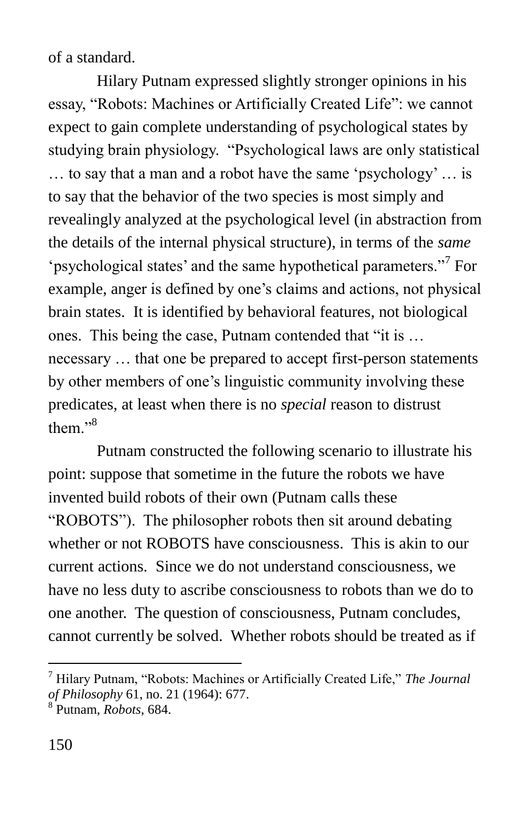of a standard.

Hilary Putnam expressed slightly stronger opinions in his essay, "Robots: Machines or Artificially Created Life": we cannot expect to gain complete understanding of psychological states by studying brain physiology. "Psychological laws are only statistical  $\ldots$  to say that a man and a robot have the same 'psychology'  $\ldots$  is to say that the behavior of the two species is most simply and revealingly analyzed at the psychological level (in abstraction from the details of the internal physical structure), in terms of the *same* 'psychological states' and the same hypothetical parameters."<sup>7</sup> For example, anger is defined by one's claims and actions, not physical brain states. It is identified by behavioral features, not biological ones. This being the case, Putnam contended that "it is ... necessary … that one be prepared to accept first-person statements by other members of one's linguistic community involving these predicates, at least when there is no *special* reason to distrust them $^{,8}$ 

Putnam constructed the following scenario to illustrate his point: suppose that sometime in the future the robots we have invented build robots of their own (Putnam calls these "ROBOTS"). The philosopher robots then sit around debating whether or not ROBOTS have consciousness. This is akin to our current actions. Since we do not understand consciousness, we have no less duty to ascribe consciousness to robots than we do to one another. The question of consciousness, Putnam concludes, cannot currently be solved. Whether robots should be treated as if

<sup>&</sup>lt;sup>7</sup> Hilary Putnam, "Robots: Machines or Artificially Created Life," The Journal *of Philosophy* 61, no. 21 (1964): 677.

<sup>8</sup> Putnam, *Robots*, 684.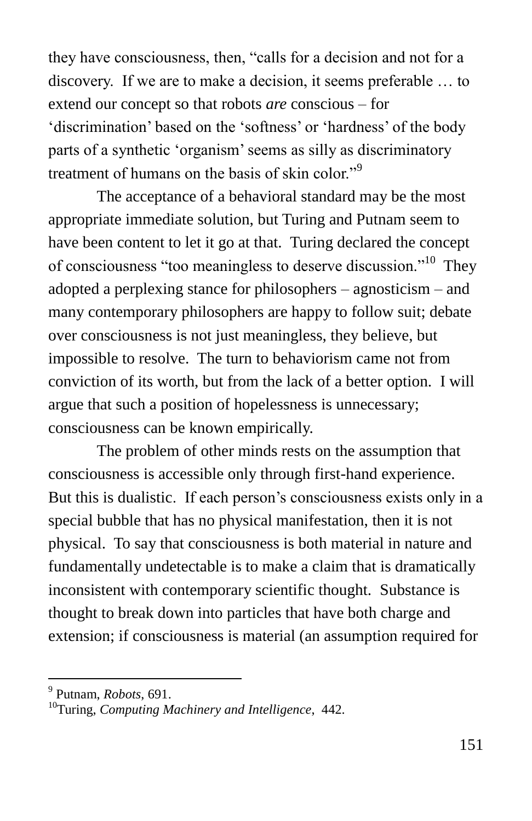they have consciousness, then, "calls for a decision and not for a discovery. If we are to make a decision, it seems preferable … to extend our concept so that robots *are* conscious – for 'discrimination' based on the 'softness' or 'hardness' of the body parts of a synthetic 'organism' seems as silly as discriminatory treatment of humans on the basis of skin color.<sup>99</sup>

The acceptance of a behavioral standard may be the most appropriate immediate solution, but Turing and Putnam seem to have been content to let it go at that. Turing declared the concept of consciousness "too meaningless to deserve discussion."<sup>10</sup> They adopted a perplexing stance for philosophers – agnosticism – and many contemporary philosophers are happy to follow suit; debate over consciousness is not just meaningless, they believe, but impossible to resolve. The turn to behaviorism came not from conviction of its worth, but from the lack of a better option. I will argue that such a position of hopelessness is unnecessary; consciousness can be known empirically.

The problem of other minds rests on the assumption that consciousness is accessible only through first-hand experience. But this is dualistic. If each person's consciousness exists only in a special bubble that has no physical manifestation, then it is not physical. To say that consciousness is both material in nature and fundamentally undetectable is to make a claim that is dramatically inconsistent with contemporary scientific thought. Substance is thought to break down into particles that have both charge and extension; if consciousness is material (an assumption required for

<sup>9</sup> Putnam, *Robots*, 691.

<sup>10</sup>Turing, *Computing Machinery and Intelligence*, 442.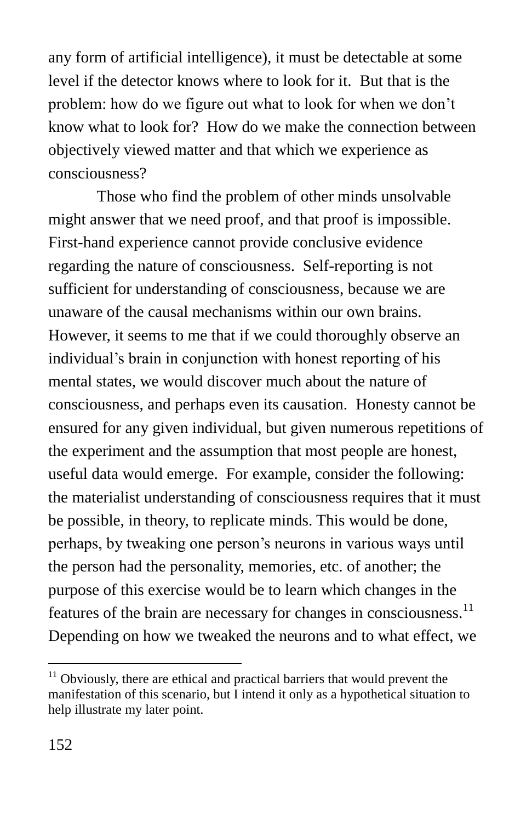any form of artificial intelligence), it must be detectable at some level if the detector knows where to look for it. But that is the problem: how do we figure out what to look for when we don't know what to look for? How do we make the connection between objectively viewed matter and that which we experience as consciousness?

Those who find the problem of other minds unsolvable might answer that we need proof, and that proof is impossible. First-hand experience cannot provide conclusive evidence regarding the nature of consciousness. Self-reporting is not sufficient for understanding of consciousness, because we are unaware of the causal mechanisms within our own brains. However, it seems to me that if we could thoroughly observe an individual's brain in conjunction with honest reporting of his mental states, we would discover much about the nature of consciousness, and perhaps even its causation. Honesty cannot be ensured for any given individual, but given numerous repetitions of the experiment and the assumption that most people are honest, useful data would emerge. For example, consider the following: the materialist understanding of consciousness requires that it must be possible, in theory, to replicate minds. This would be done, perhaps, by tweaking one person's neurons in various ways until the person had the personality, memories, etc. of another; the purpose of this exercise would be to learn which changes in the features of the brain are necessary for changes in consciousness.<sup>11</sup> Depending on how we tweaked the neurons and to what effect, we

 $11$  Obviously, there are ethical and practical barriers that would prevent the manifestation of this scenario, but I intend it only as a hypothetical situation to help illustrate my later point.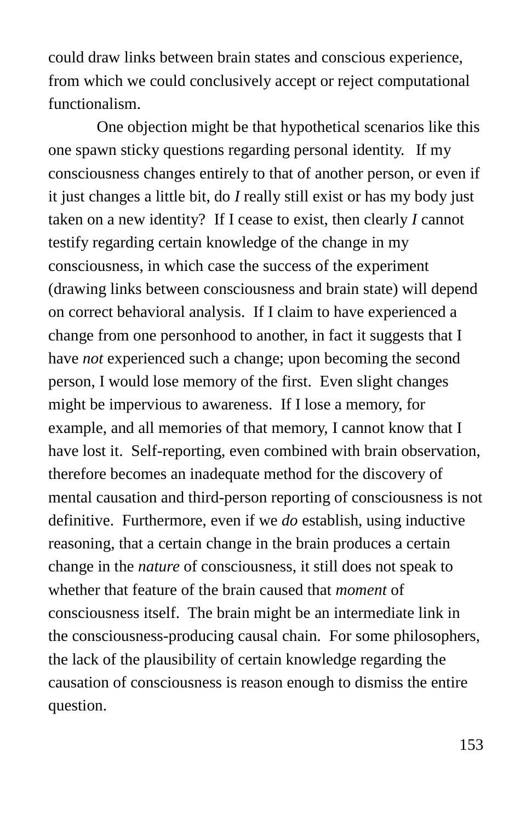could draw links between brain states and conscious experience, from which we could conclusively accept or reject computational functionalism.

One objection might be that hypothetical scenarios like this one spawn sticky questions regarding personal identity. If my consciousness changes entirely to that of another person, or even if it just changes a little bit, do *I* really still exist or has my body just taken on a new identity? If I cease to exist, then clearly *I* cannot testify regarding certain knowledge of the change in my consciousness, in which case the success of the experiment (drawing links between consciousness and brain state) will depend on correct behavioral analysis. If I claim to have experienced a change from one personhood to another, in fact it suggests that I have *not* experienced such a change; upon becoming the second person, I would lose memory of the first. Even slight changes might be impervious to awareness. If I lose a memory, for example, and all memories of that memory, I cannot know that I have lost it. Self-reporting, even combined with brain observation, therefore becomes an inadequate method for the discovery of mental causation and third-person reporting of consciousness is not definitive. Furthermore, even if we *do* establish, using inductive reasoning, that a certain change in the brain produces a certain change in the *nature* of consciousness, it still does not speak to whether that feature of the brain caused that *moment* of consciousness itself. The brain might be an intermediate link in the consciousness-producing causal chain. For some philosophers, the lack of the plausibility of certain knowledge regarding the causation of consciousness is reason enough to dismiss the entire question.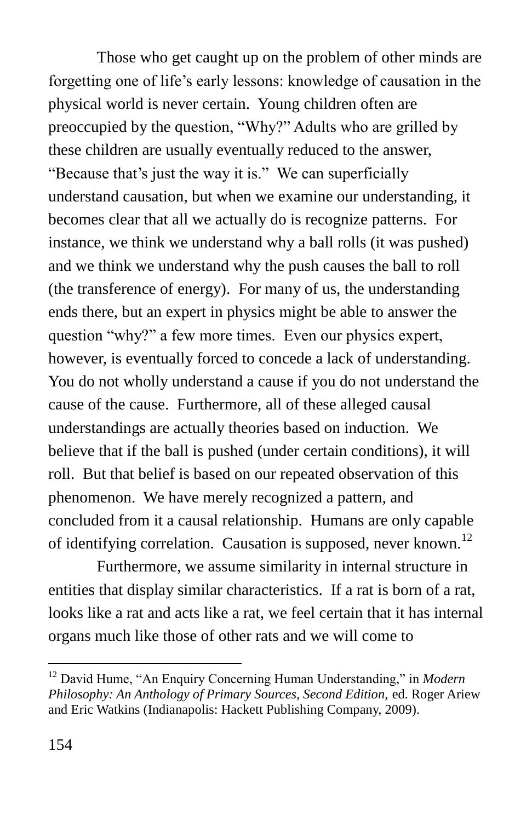Those who get caught up on the problem of other minds are forgetting one of life's early lessons: knowledge of causation in the physical world is never certain. Young children often are preoccupied by the question, "Why?" Adults who are grilled by these children are usually eventually reduced to the answer, "Because that's just the way it is." We can superficially understand causation, but when we examine our understanding, it becomes clear that all we actually do is recognize patterns. For instance, we think we understand why a ball rolls (it was pushed) and we think we understand why the push causes the ball to roll (the transference of energy). For many of us, the understanding ends there, but an expert in physics might be able to answer the question "why?" a few more times. Even our physics expert, however, is eventually forced to concede a lack of understanding. You do not wholly understand a cause if you do not understand the cause of the cause. Furthermore, all of these alleged causal understandings are actually theories based on induction. We believe that if the ball is pushed (under certain conditions), it will roll. But that belief is based on our repeated observation of this phenomenon. We have merely recognized a pattern, and concluded from it a causal relationship. Humans are only capable of identifying correlation. Causation is supposed, never known.<sup>12</sup>

Furthermore, we assume similarity in internal structure in entities that display similar characteristics. If a rat is born of a rat, looks like a rat and acts like a rat, we feel certain that it has internal organs much like those of other rats and we will come to

<sup>&</sup>lt;sup>12</sup> David Hume, "An Enquiry Concerning Human Understanding," in *Modern Philosophy: An Anthology of Primary Sources, Second Edition,* ed. Roger Ariew and Eric Watkins (Indianapolis: Hackett Publishing Company, 2009).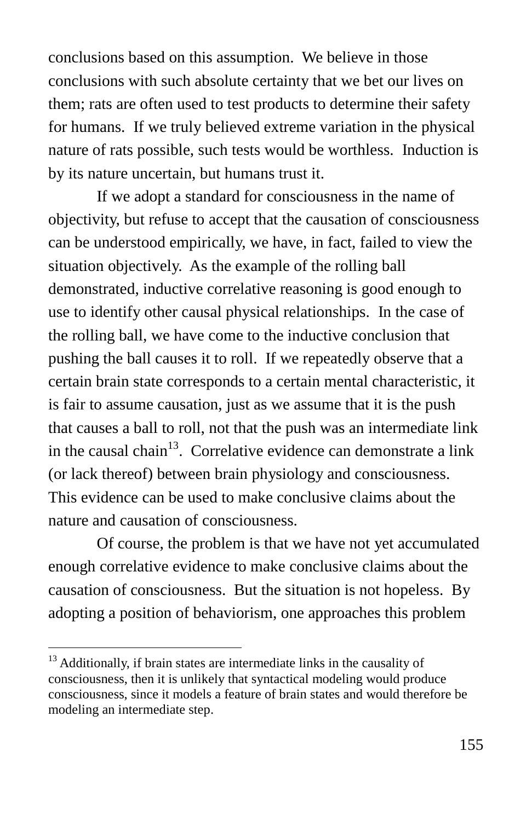conclusions based on this assumption. We believe in those conclusions with such absolute certainty that we bet our lives on them; rats are often used to test products to determine their safety for humans. If we truly believed extreme variation in the physical nature of rats possible, such tests would be worthless. Induction is by its nature uncertain, but humans trust it.

If we adopt a standard for consciousness in the name of objectivity, but refuse to accept that the causation of consciousness can be understood empirically, we have, in fact, failed to view the situation objectively. As the example of the rolling ball demonstrated, inductive correlative reasoning is good enough to use to identify other causal physical relationships. In the case of the rolling ball, we have come to the inductive conclusion that pushing the ball causes it to roll. If we repeatedly observe that a certain brain state corresponds to a certain mental characteristic, it is fair to assume causation, just as we assume that it is the push that causes a ball to roll, not that the push was an intermediate link in the causal chain<sup>13</sup>. Correlative evidence can demonstrate a link (or lack thereof) between brain physiology and consciousness. This evidence can be used to make conclusive claims about the nature and causation of consciousness.

Of course, the problem is that we have not yet accumulated enough correlative evidence to make conclusive claims about the causation of consciousness. But the situation is not hopeless. By adopting a position of behaviorism, one approaches this problem

 $13$  Additionally, if brain states are intermediate links in the causality of consciousness, then it is unlikely that syntactical modeling would produce consciousness, since it models a feature of brain states and would therefore be modeling an intermediate step.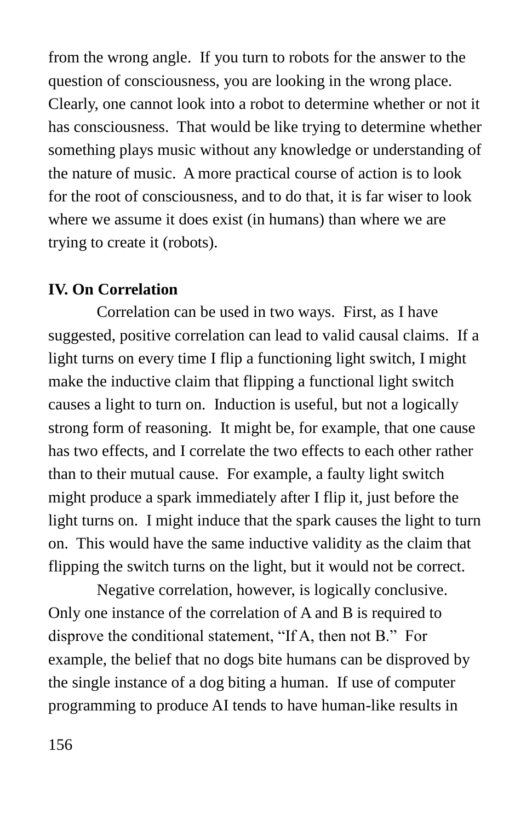from the wrong angle. If you turn to robots for the answer to the question of consciousness, you are looking in the wrong place. Clearly, one cannot look into a robot to determine whether or not it has consciousness. That would be like trying to determine whether something plays music without any knowledge or understanding of the nature of music. A more practical course of action is to look for the root of consciousness, and to do that, it is far wiser to look where we assume it does exist (in humans) than where we are trying to create it (robots).

### **IV. On Correlation**

Correlation can be used in two ways. First, as I have suggested, positive correlation can lead to valid causal claims. If a light turns on every time I flip a functioning light switch, I might make the inductive claim that flipping a functional light switch causes a light to turn on. Induction is useful, but not a logically strong form of reasoning. It might be, for example, that one cause has two effects, and I correlate the two effects to each other rather than to their mutual cause. For example, a faulty light switch might produce a spark immediately after I flip it, just before the light turns on. I might induce that the spark causes the light to turn on. This would have the same inductive validity as the claim that flipping the switch turns on the light, but it would not be correct.

Negative correlation, however, is logically conclusive. Only one instance of the correlation of A and B is required to disprove the conditional statement, "If A, then not B." For example, the belief that no dogs bite humans can be disproved by the single instance of a dog biting a human. If use of computer programming to produce AI tends to have human-like results in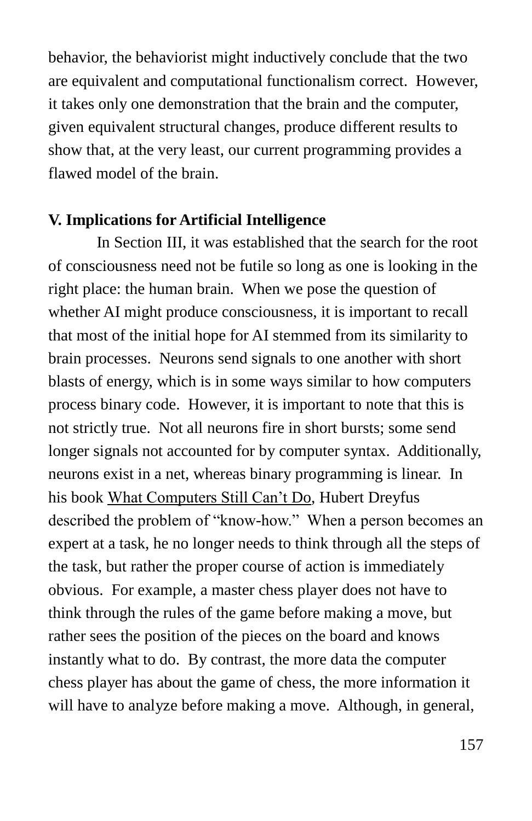behavior, the behaviorist might inductively conclude that the two are equivalent and computational functionalism correct. However, it takes only one demonstration that the brain and the computer, given equivalent structural changes, produce different results to show that, at the very least, our current programming provides a flawed model of the brain.

#### **V. Implications for Artificial Intelligence**

In Section III, it was established that the search for the root of consciousness need not be futile so long as one is looking in the right place: the human brain. When we pose the question of whether AI might produce consciousness, it is important to recall that most of the initial hope for AI stemmed from its similarity to brain processes. Neurons send signals to one another with short blasts of energy, which is in some ways similar to how computers process binary code. However, it is important to note that this is not strictly true. Not all neurons fire in short bursts; some send longer signals not accounted for by computer syntax. Additionally, neurons exist in a net, whereas binary programming is linear. In his book What Computers Still Can't Do, Hubert Dreyfus described the problem of "know-how." When a person becomes an expert at a task, he no longer needs to think through all the steps of the task, but rather the proper course of action is immediately obvious. For example, a master chess player does not have to think through the rules of the game before making a move, but rather sees the position of the pieces on the board and knows instantly what to do. By contrast, the more data the computer chess player has about the game of chess, the more information it will have to analyze before making a move. Although, in general,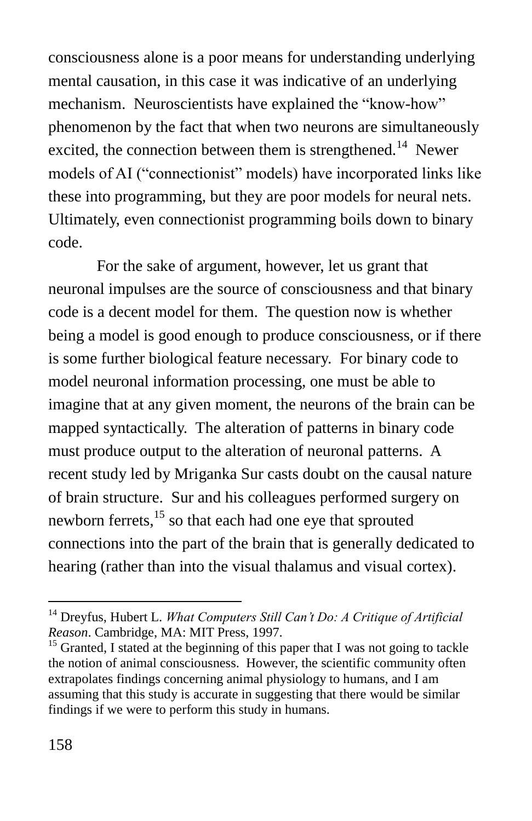consciousness alone is a poor means for understanding underlying mental causation, in this case it was indicative of an underlying mechanism. Neuroscientists have explained the "know-how" phenomenon by the fact that when two neurons are simultaneously excited, the connection between them is strengthened.<sup>14</sup> Newer models of AI ("connectionist" models) have incorporated links like these into programming, but they are poor models for neural nets. Ultimately, even connectionist programming boils down to binary code.

For the sake of argument, however, let us grant that neuronal impulses are the source of consciousness and that binary code is a decent model for them. The question now is whether being a model is good enough to produce consciousness, or if there is some further biological feature necessary. For binary code to model neuronal information processing, one must be able to imagine that at any given moment, the neurons of the brain can be mapped syntactically. The alteration of patterns in binary code must produce output to the alteration of neuronal patterns. A recent study led by Mriganka Sur casts doubt on the causal nature of brain structure. Sur and his colleagues performed surgery on newborn ferrets,<sup>15</sup> so that each had one eye that sprouted connections into the part of the brain that is generally dedicated to hearing (rather than into the visual thalamus and visual cortex).

<sup>14</sup> Dreyfus, Hubert L. *What Computers Still Can't Do: A Critique of Artificial Reason*. Cambridge, MA: MIT Press, 1997.

 $15$  Granted, I stated at the beginning of this paper that I was not going to tackle the notion of animal consciousness. However, the scientific community often extrapolates findings concerning animal physiology to humans, and I am assuming that this study is accurate in suggesting that there would be similar findings if we were to perform this study in humans.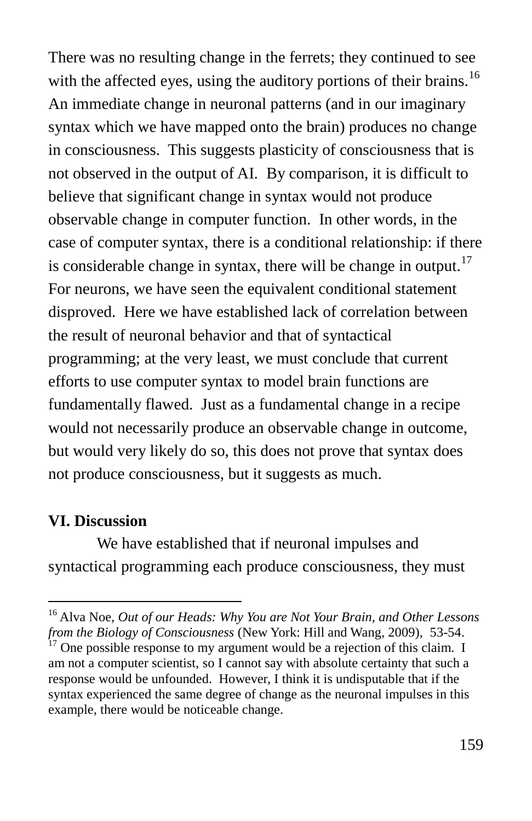There was no resulting change in the ferrets; they continued to see with the affected eyes, using the auditory portions of their brains.<sup>16</sup> An immediate change in neuronal patterns (and in our imaginary syntax which we have mapped onto the brain) produces no change in consciousness. This suggests plasticity of consciousness that is not observed in the output of AI. By comparison, it is difficult to believe that significant change in syntax would not produce observable change in computer function. In other words, in the case of computer syntax, there is a conditional relationship: if there is considerable change in syntax, there will be change in output.<sup>17</sup> For neurons, we have seen the equivalent conditional statement disproved. Here we have established lack of correlation between the result of neuronal behavior and that of syntactical programming; at the very least, we must conclude that current efforts to use computer syntax to model brain functions are fundamentally flawed. Just as a fundamental change in a recipe would not necessarily produce an observable change in outcome, but would very likely do so, this does not prove that syntax does not produce consciousness, but it suggests as much.

#### **VI. Discussion**

 $\overline{a}$ 

We have established that if neuronal impulses and syntactical programming each produce consciousness, they must

<sup>16</sup> Alva Noe, *Out of our Heads: Why You are Not Your Brain, and Other Lessons from the Biology of Consciousness* (New York: Hill and Wang, 2009), 53-54.

 $17$  One possible response to my argument would be a rejection of this claim. I am not a computer scientist, so I cannot say with absolute certainty that such a response would be unfounded. However, I think it is undisputable that if the syntax experienced the same degree of change as the neuronal impulses in this example, there would be noticeable change.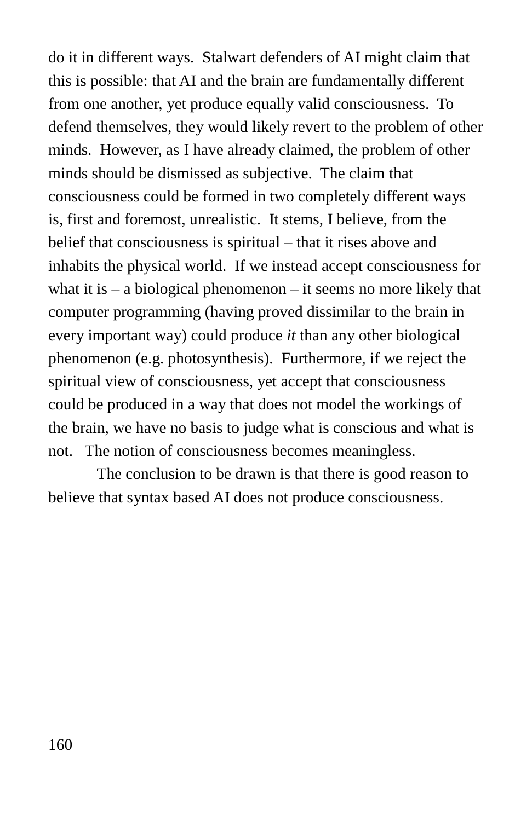do it in different ways. Stalwart defenders of AI might claim that this is possible: that AI and the brain are fundamentally different from one another, yet produce equally valid consciousness. To defend themselves, they would likely revert to the problem of other minds. However, as I have already claimed, the problem of other minds should be dismissed as subjective. The claim that consciousness could be formed in two completely different ways is, first and foremost, unrealistic. It stems, I believe, from the belief that consciousness is spiritual – that it rises above and inhabits the physical world. If we instead accept consciousness for what it is  $-$  a biological phenomenon  $-$  it seems no more likely that computer programming (having proved dissimilar to the brain in every important way) could produce *it* than any other biological phenomenon (e.g. photosynthesis). Furthermore, if we reject the spiritual view of consciousness, yet accept that consciousness could be produced in a way that does not model the workings of the brain, we have no basis to judge what is conscious and what is not. The notion of consciousness becomes meaningless.

The conclusion to be drawn is that there is good reason to believe that syntax based AI does not produce consciousness.